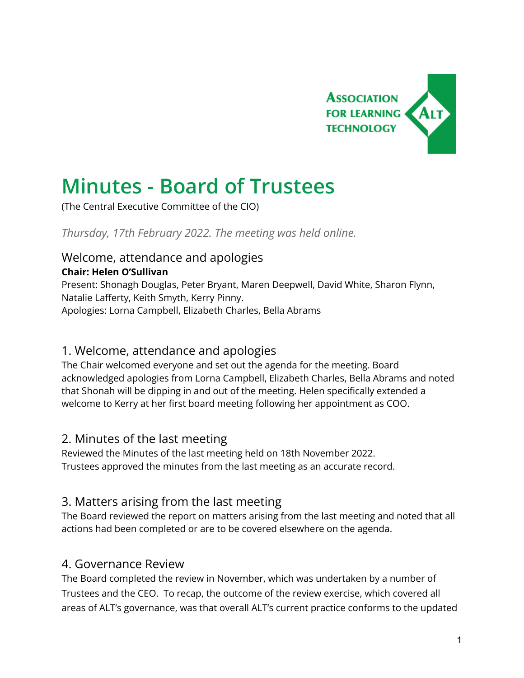

# **Minutes - Board of Trustees**

(The Central Executive Committee of the CIO)

*Thursday, 17th February 2022. The meeting was held online.*

# Welcome, attendance and apologies

#### **Chair: Helen O'Sullivan**

Present: Shonagh Douglas, Peter Bryant, Maren Deepwell, David White, Sharon Flynn, Natalie Lafferty, Keith Smyth, Kerry Pinny. Apologies: Lorna Campbell, Elizabeth Charles, Bella Abrams

### 1. Welcome, attendance and apologies

The Chair welcomed everyone and set out the agenda for the meeting. Board acknowledged apologies from Lorna Campbell, Elizabeth Charles, Bella Abrams and noted that Shonah will be dipping in and out of the meeting. Helen specifically extended a welcome to Kerry at her first board meeting following her appointment as COO.

### 2. Minutes of the last meeting

Reviewed the Minutes of the last meeting held on 18th November 2022. Trustees approved the minutes from the last meeting as an accurate record.

### 3. Matters arising from the last meeting

The Board reviewed the report on matters arising from the last meeting and noted that all actions had been completed or are to be covered elsewhere on the agenda.

### 4. Governance Review

The Board completed the review in November, which was undertaken by a number of Trustees and the CEO. To recap, the outcome of the review exercise, which covered all areas of ALT's governance, was that overall ALT's current practice conforms to the updated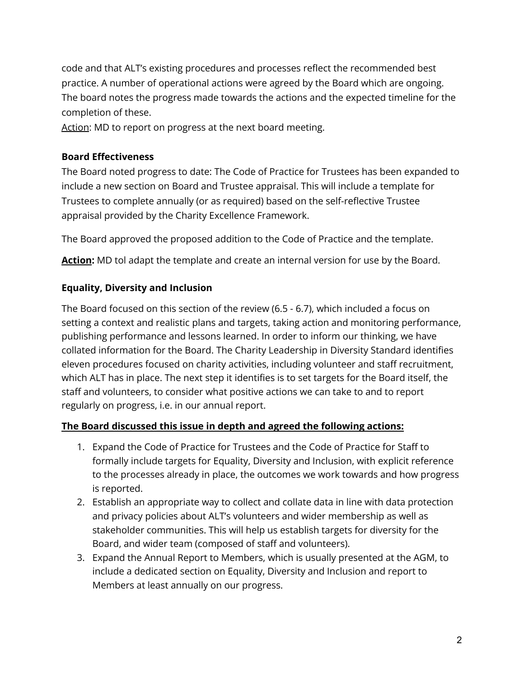code and that ALT's existing procedures and processes reflect the recommended best practice. A number of operational actions were agreed by the Board which are ongoing. The board notes the progress made towards the actions and the expected timeline for the completion of these.

Action: MD to report on progress at the next board meeting.

#### **Board Effectiveness**

The Board noted progress to date: The Code of Practice for Trustees has been expanded to include a new section on Board and Trustee appraisal. This will include a template for Trustees to complete annually (or as required) based on the self-reflective Trustee appraisal provided by the Charity Excellence Framework.

The Board approved the proposed addition to the Code of Practice and the template.

Action: MD tol adapt the template and create an internal version for use by the Board.

#### **Equality, Diversity and Inclusion**

The Board focused on this section of the review (6.5 - 6.7), which included a focus on setting a context and realistic plans and targets, taking action and monitoring performance, publishing performance and lessons learned. In order to inform our thinking, we have collated information for the Board. The Charity Leadership in Diversity Standard identifies eleven procedures focused on charity activities, including volunteer and staff recruitment, which ALT has in place. The next step it identifies is to set targets for the Board itself, the staff and volunteers, to consider what positive actions we can take to and to report regularly on progress, i.e. in our annual report.

#### **The Board discussed this issue in depth and agreed the following actions:**

- 1. Expand the Code of Practice for Trustees and the Code of Practice for Staff to formally include targets for Equality, Diversity and Inclusion, with explicit reference to the processes already in place, the outcomes we work towards and how progress is reported.
- 2. Establish an appropriate way to collect and collate data in line with data protection and privacy policies about ALT's volunteers and wider membership as well as stakeholder communities. This will help us establish targets for diversity for the Board, and wider team (composed of staff and volunteers).
- 3. Expand the Annual Report to Members, which is usually presented at the AGM, to include a dedicated section on Equality, Diversity and Inclusion and report to Members at least annually on our progress.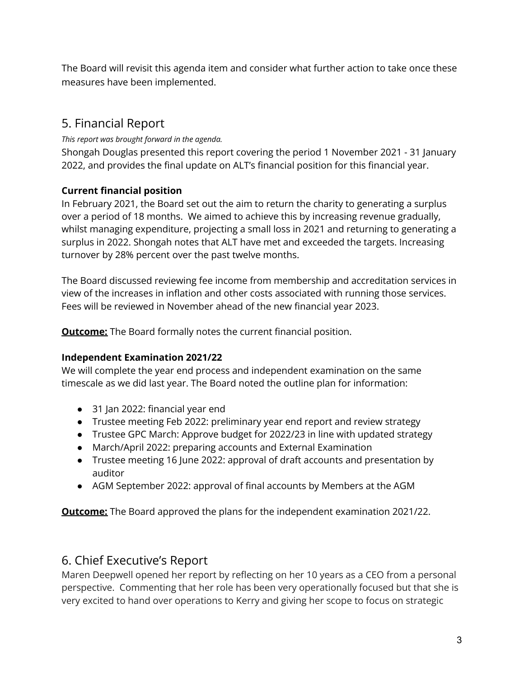The Board will revisit this agenda item and consider what further action to take once these measures have been implemented.

# 5. Financial Report

*This report was brought forward in the agenda.*

Shongah Douglas presented this report covering the period 1 November 2021 - 31 January 2022, and provides the final update on ALT's financial position for this financial year.

### **Current financial position**

In February 2021, the Board set out the aim to return the charity to generating a surplus over a period of 18 months. We aimed to achieve this by increasing revenue gradually, whilst managing expenditure, projecting a small loss in 2021 and returning to generating a surplus in 2022. Shongah notes that ALT have met and exceeded the targets. Increasing turnover by 28% percent over the past twelve months.

The Board discussed reviewing fee income from membership and accreditation services in view of the increases in inflation and other costs associated with running those services. Fees will be reviewed in November ahead of the new financial year 2023.

**Outcome:** The Board formally notes the current financial position.

#### **Independent Examination 2021/22**

We will complete the year end process and independent examination on the same timescale as we did last year. The Board noted the outline plan for information:

- 31 Jan 2022: financial year end
- Trustee meeting Feb 2022: preliminary year end report and review strategy
- Trustee GPC March: Approve budget for 2022/23 in line with updated strategy
- March/April 2022: preparing accounts and External Examination
- Trustee meeting 16 June 2022: approval of draft accounts and presentation by auditor
- AGM September 2022: approval of final accounts by Members at the AGM

**Outcome:** The Board approved the plans for the independent examination 2021/22.

# 6. Chief Executive's Report

Maren Deepwell opened her report by reflecting on her 10 years as a CEO from a personal perspective. Commenting that her role has been very operationally focused but that she is very excited to hand over operations to Kerry and giving her scope to focus on strategic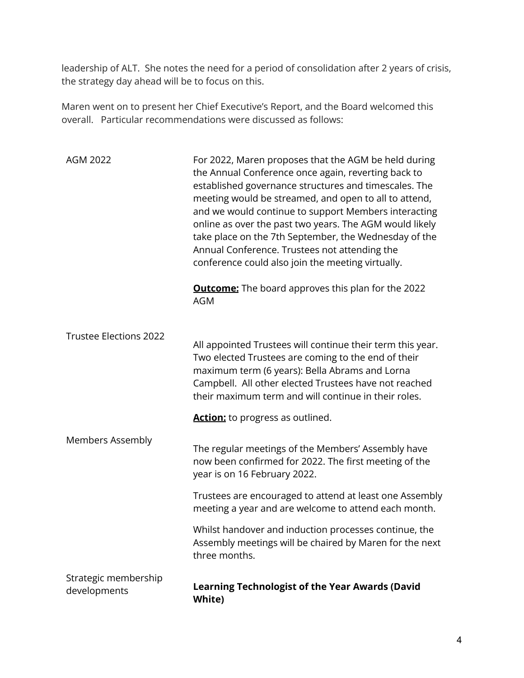leadership of ALT. She notes the need for a period of consolidation after 2 years of crisis, the strategy day ahead will be to focus on this.

Maren went on to present her Chief Executive's Report, and the Board welcomed this overall. Particular recommendations were discussed as follows:

| AGM 2022                             | For 2022, Maren proposes that the AGM be held during<br>the Annual Conference once again, reverting back to<br>established governance structures and timescales. The<br>meeting would be streamed, and open to all to attend,<br>and we would continue to support Members interacting<br>online as over the past two years. The AGM would likely<br>take place on the 7th September, the Wednesday of the<br>Annual Conference. Trustees not attending the<br>conference could also join the meeting virtually. |
|--------------------------------------|-----------------------------------------------------------------------------------------------------------------------------------------------------------------------------------------------------------------------------------------------------------------------------------------------------------------------------------------------------------------------------------------------------------------------------------------------------------------------------------------------------------------|
|                                      | <b>Outcome:</b> The board approves this plan for the 2022<br>AGM                                                                                                                                                                                                                                                                                                                                                                                                                                                |
| <b>Trustee Elections 2022</b>        | All appointed Trustees will continue their term this year.<br>Two elected Trustees are coming to the end of their<br>maximum term (6 years): Bella Abrams and Lorna<br>Campbell. All other elected Trustees have not reached<br>their maximum term and will continue in their roles.                                                                                                                                                                                                                            |
|                                      | <b>Action:</b> to progress as outlined.                                                                                                                                                                                                                                                                                                                                                                                                                                                                         |
| <b>Members Assembly</b>              | The regular meetings of the Members' Assembly have<br>now been confirmed for 2022. The first meeting of the<br>year is on 16 February 2022.                                                                                                                                                                                                                                                                                                                                                                     |
|                                      | Trustees are encouraged to attend at least one Assembly<br>meeting a year and are welcome to attend each month.                                                                                                                                                                                                                                                                                                                                                                                                 |
|                                      | Whilst handover and induction processes continue, the<br>Assembly meetings will be chaired by Maren for the next<br>three months.                                                                                                                                                                                                                                                                                                                                                                               |
| Strategic membership<br>developments | <b>Learning Technologist of the Year Awards (David</b><br>White)                                                                                                                                                                                                                                                                                                                                                                                                                                                |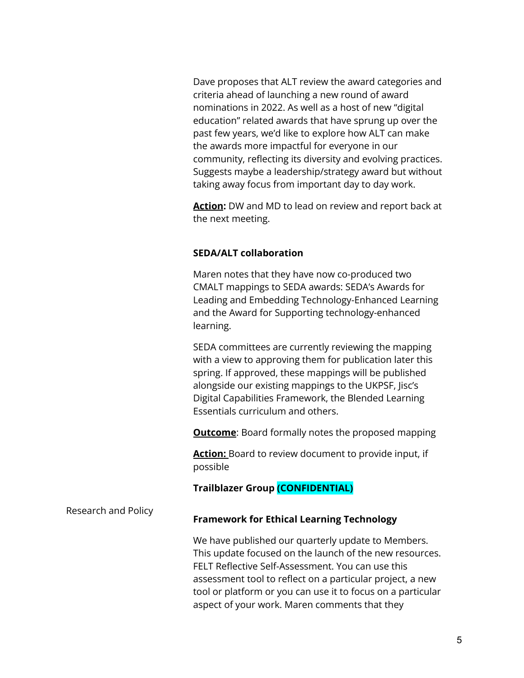Dave proposes that ALT review the award categories and criteria ahead of launching a new round of award nominations in 2022. As well as a host of new "digital education" related awards that have sprung up over the past few years, we'd like to explore how ALT can make the awards more impactful for everyone in our community, reflecting its diversity and evolving practices. Suggests maybe a leadership/strategy award but without taking away focus from important day to day work.

**Action:** DW and MD to lead on review and report back at the next meeting.

#### **SEDA/ALT collaboration**

Maren notes that they have now co-produced two CMALT mappings to SEDA awards: SEDA's Awards for Leading and Embedding Technology-Enhanced Learning and the Award for Supporting technology-enhanced learning.

SEDA committees are currently reviewing the mapping with a view to approving them for publication later this spring. If approved, these mappings will be published alongside our existing mappings to the UKPSF, Jisc's Digital Capabilities Framework, the Blended Learning Essentials curriculum and others.

**Outcome**: Board formally notes the proposed mapping

**Action:** Board to review document to provide input, if possible

#### **Trailblazer Group (CONFIDENTIAL)**

#### Research and Policy **Framework for Ethical Learning Technology**

We have published our quarterly update to Members. This update focused on the launch of the new resources. FELT Reflective Self-Assessment. You can use this assessment tool to reflect on a particular project, a new tool or platform or you can use it to focus on a particular aspect of your work. Maren comments that they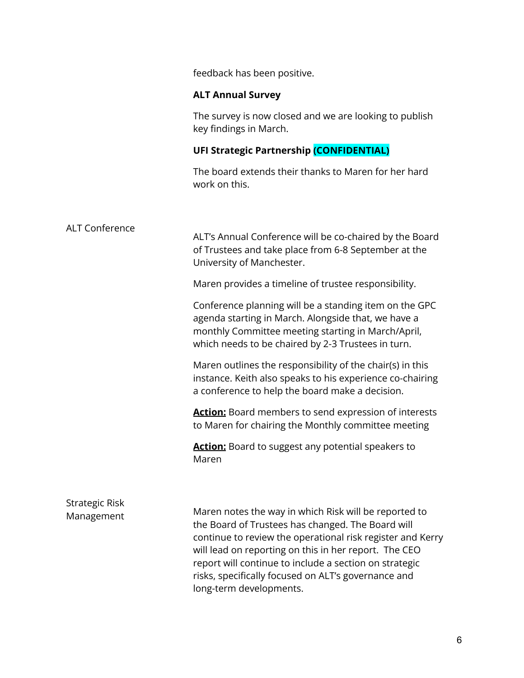feedback has been positive.

#### **ALT Annual Survey**

The survey is now closed and we are looking to publish key findings in March.

### **UFI Strategic Partnership (CONFIDENTIAL)**

The board extends their thanks to Maren for her hard work on this.

| <b>ALT Conference</b>               | ALT's Annual Conference will be co-chaired by the Board<br>of Trustees and take place from 6-8 September at the<br>University of Manchester.                                                                                                                                                                                                                                  |
|-------------------------------------|-------------------------------------------------------------------------------------------------------------------------------------------------------------------------------------------------------------------------------------------------------------------------------------------------------------------------------------------------------------------------------|
|                                     | Maren provides a timeline of trustee responsibility.                                                                                                                                                                                                                                                                                                                          |
|                                     | Conference planning will be a standing item on the GPC<br>agenda starting in March. Alongside that, we have a<br>monthly Committee meeting starting in March/April,<br>which needs to be chaired by 2-3 Trustees in turn.                                                                                                                                                     |
|                                     | Maren outlines the responsibility of the chair(s) in this<br>instance. Keith also speaks to his experience co-chairing<br>a conference to help the board make a decision.                                                                                                                                                                                                     |
|                                     | <b>Action:</b> Board members to send expression of interests<br>to Maren for chairing the Monthly committee meeting                                                                                                                                                                                                                                                           |
|                                     | <b>Action:</b> Board to suggest any potential speakers to<br>Maren                                                                                                                                                                                                                                                                                                            |
|                                     |                                                                                                                                                                                                                                                                                                                                                                               |
| <b>Strategic Risk</b><br>Management | Maren notes the way in which Risk will be reported to<br>the Board of Trustees has changed. The Board will<br>continue to review the operational risk register and Kerry<br>will lead on reporting on this in her report. The CEO<br>report will continue to include a section on strategic<br>risks, specifically focused on ALT's governance and<br>long-term developments. |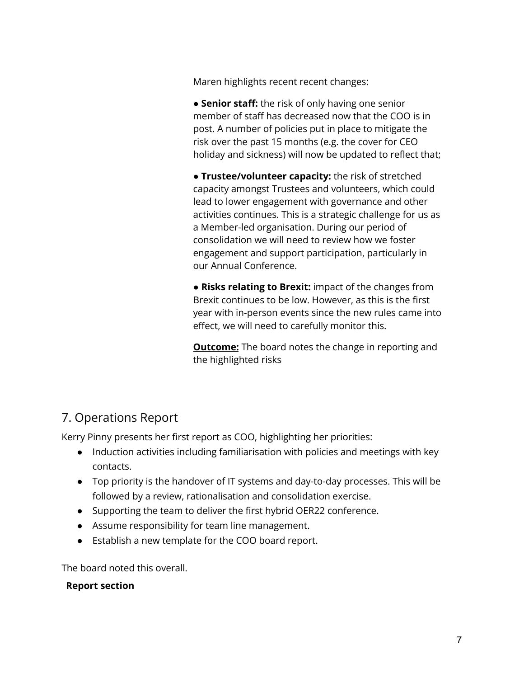Maren highlights recent recent changes:

● **Senior staff:** the risk of only having one senior member of staff has decreased now that the COO is in post. A number of policies put in place to mitigate the risk over the past 15 months (e.g. the cover for CEO holiday and sickness) will now be updated to reflect that;

● **Trustee/volunteer capacity:** the risk of stretched capacity amongst Trustees and volunteers, which could lead to lower engagement with governance and other activities continues. This is a strategic challenge for us as a Member-led organisation. During our period of consolidation we will need to review how we foster engagement and support participation, particularly in our Annual Conference.

● **Risks relating to Brexit:** impact of the changes from Brexit continues to be low. However, as this is the first year with in-person events since the new rules came into effect, we will need to carefully monitor this.

**Outcome:** The board notes the change in reporting and the highlighted risks

# 7. Operations Report

Kerry Pinny presents her first report as COO, highlighting her priorities:

- Induction activities including familiarisation with policies and meetings with key contacts.
- Top priority is the handover of IT systems and day-to-day processes. This will be followed by a review, rationalisation and consolidation exercise.
- Supporting the team to deliver the first hybrid OER22 conference.
- Assume responsibility for team line management.
- Establish a new template for the COO board report.

The board noted this overall.

#### **Report section**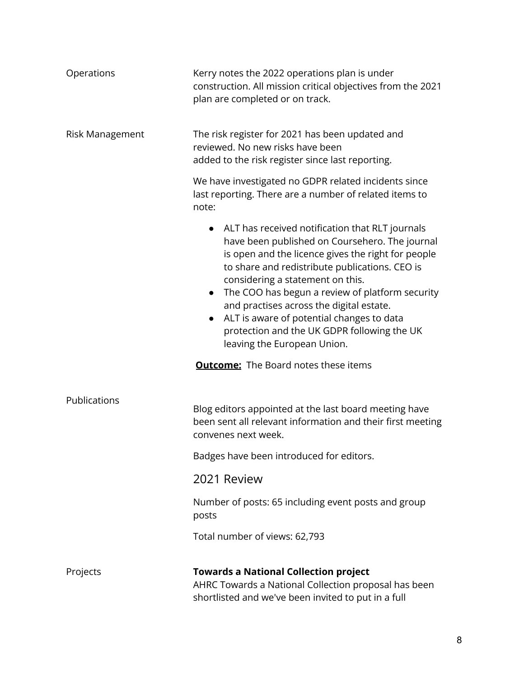| Operations             | Kerry notes the 2022 operations plan is under<br>construction. All mission critical objectives from the 2021<br>plan are completed or on track.                                                                                                                                                                                                                                                                                                                                                   |
|------------------------|---------------------------------------------------------------------------------------------------------------------------------------------------------------------------------------------------------------------------------------------------------------------------------------------------------------------------------------------------------------------------------------------------------------------------------------------------------------------------------------------------|
| <b>Risk Management</b> | The risk register for 2021 has been updated and<br>reviewed. No new risks have been<br>added to the risk register since last reporting.                                                                                                                                                                                                                                                                                                                                                           |
|                        | We have investigated no GDPR related incidents since<br>last reporting. There are a number of related items to<br>note:                                                                                                                                                                                                                                                                                                                                                                           |
|                        | ALT has received notification that RLT journals<br>$\bullet$<br>have been published on Coursehero. The journal<br>is open and the licence gives the right for people<br>to share and redistribute publications. CEO is<br>considering a statement on this.<br>The COO has begun a review of platform security<br>$\bullet$<br>and practises across the digital estate.<br>ALT is aware of potential changes to data<br>protection and the UK GDPR following the UK<br>leaving the European Union. |
|                        | <b>Outcome:</b> The Board notes these items                                                                                                                                                                                                                                                                                                                                                                                                                                                       |
| Publications           | Blog editors appointed at the last board meeting have<br>been sent all relevant information and their first meeting<br>convenes next week.                                                                                                                                                                                                                                                                                                                                                        |
|                        | Badges have been introduced for editors.                                                                                                                                                                                                                                                                                                                                                                                                                                                          |
|                        | 2021 Review                                                                                                                                                                                                                                                                                                                                                                                                                                                                                       |
|                        | Number of posts: 65 including event posts and group<br>posts                                                                                                                                                                                                                                                                                                                                                                                                                                      |
|                        | Total number of views: 62,793                                                                                                                                                                                                                                                                                                                                                                                                                                                                     |
| Projects               | <b>Towards a National Collection project</b><br>AHRC Towards a National Collection proposal has been<br>shortlisted and we've been invited to put in a full                                                                                                                                                                                                                                                                                                                                       |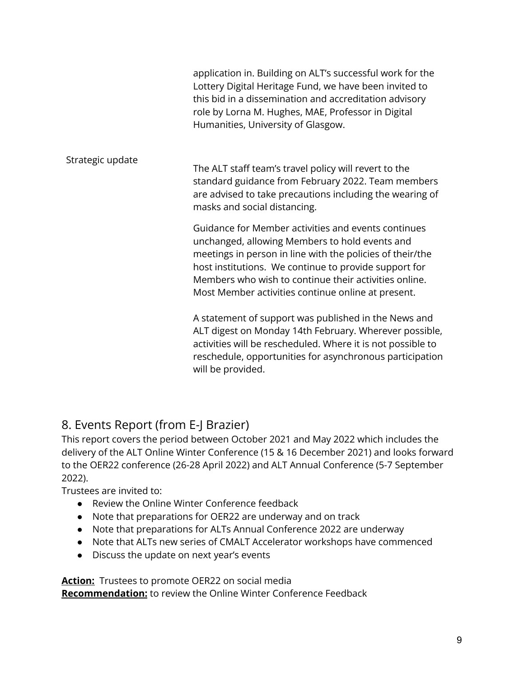|                  | application in. Building on ALT's successful work for the<br>Lottery Digital Heritage Fund, we have been invited to<br>this bid in a dissemination and accreditation advisory<br>role by Lorna M. Hughes, MAE, Professor in Digital<br>Humanities, University of Glasgow.                                                                  |
|------------------|--------------------------------------------------------------------------------------------------------------------------------------------------------------------------------------------------------------------------------------------------------------------------------------------------------------------------------------------|
| Strategic update | The ALT staff team's travel policy will revert to the<br>standard guidance from February 2022. Team members<br>are advised to take precautions including the wearing of<br>masks and social distancing.                                                                                                                                    |
|                  | Guidance for Member activities and events continues<br>unchanged, allowing Members to hold events and<br>meetings in person in line with the policies of their/the<br>host institutions. We continue to provide support for<br>Members who wish to continue their activities online.<br>Most Member activities continue online at present. |
|                  | A statement of support was published in the News and<br>ALT digest on Monday 14th February. Wherever possible,<br>activities will be rescheduled. Where it is not possible to<br>reschedule, opportunities for asynchronous participation<br>will be provided.                                                                             |

# 8. Events Report (from E-J Brazier)

This report covers the period between October 2021 and May 2022 which includes the delivery of the ALT Online Winter Conference (15 & 16 December 2021) and looks forward to the OER22 conference (26-28 April 2022) and ALT Annual Conference (5-7 September 2022).

Trustees are invited to:

- Review the Online Winter Conference feedback
- Note that preparations for OER22 are underway and on track
- Note that preparations for ALTs Annual Conference 2022 are underway
- Note that ALTs new series of CMALT Accelerator workshops have commenced
- Discuss the update on next year's events

**Action:** Trustees to promote OER22 on social media **Recommendation:** to review the Online Winter Conference Feedback